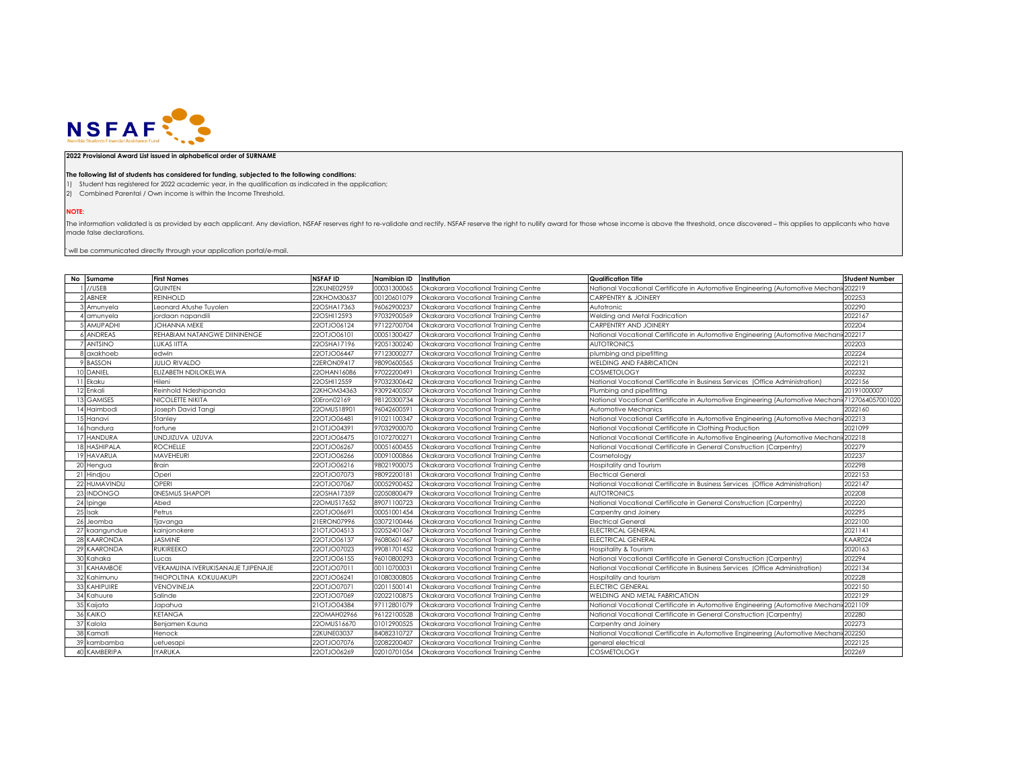

## **2022 Provisional Award List issued in alphabetical order of SURNAME**

## **The following list of students has considered for funding, subjected to the following conditions:**

1) Student has registered for 2022 academic year, in the qualification as indicated in the application;

2) Combined Parental / Own income is within the Income Threshold.

**NOTE:**

The information validated is as provided by each applicant. Any deviation, NSFAF reserves right to re-validate and rectify. NSFAF reserve the right to nullify award for those whose income is above the threshold, once disco made false declarations.

 $^{\circ}$  will be communicated directly through your application portal/e-mail.

| No Surname       | <b>First Names</b>                 | <b>NSFAF ID</b> | Namibian ID | Institution                          | <b>Qualification Title</b>                                                   | <b>Student Number</b> |
|------------------|------------------------------------|-----------------|-------------|--------------------------------------|------------------------------------------------------------------------------|-----------------------|
| //USEB           | QUINTEN                            | 22KUNE02959     | 00031300065 | Okakarara Vocational Training Centre | National Vocational Certificate in Automotive Engineering (Automotive Mechar | 202219                |
| ABNER            | <b>REINHOLD</b>                    | 22KHOM30637     | 00120601079 | Okakarara Vocational Training Centre | CARPENTRY & JOINERY                                                          | 202253                |
| Amunyela         | Leonard Atushe Tuvolen             | 22OSHA17363     | 96062900237 | Okakarara Vocational Trainina Centre | Autotronic                                                                   | 202290                |
| amunyela         | jordaan napandili                  | 22OSHI12593     | 97032900569 | Okakarara Vocational Training Centre | Welding and Metal Fadrication                                                | 2022167               |
| AMUPADHI         | <b>JOHANNA MEKE</b>                | 22OTJO06124     | 97122700704 | Okakarara Vocational Training Centre | <b>CARPENTRY AND JOINERY</b>                                                 | 202204                |
| <b>ANDREAS</b>   | REHABIAM NATANGWE DIININENGE       | 22OTJO06101     | 00051300427 | Okakarara Vocational Training Centre | National Vocational Certificate in Automotive Engineering (Automotive Mechan | 202217                |
| <b>ANTSINO</b>   | LUKAS IITTA                        | 22OSHA17196     | 92051300240 | Okakarara Vocational Training Centre | <b>AUTOTRONICS</b>                                                           | 202203                |
| axakhoeb         | edwin                              | 22OTJO06447     | 97123000277 | Okakarara Vocational Training Centre | plumbing and pipefitting                                                     | 202224                |
| <b>BASSON</b>    | <b>JULIO RIVALDO</b>               | 22ERON09417     | 98090600565 | Okakarara Vocational Training Centre | WELDING AND FABRICATION                                                      | 2022121               |
| DANIEL           | ELIZABETH NDILOKELWA               | 22OHAN16086     | 97022200491 | Okakarara Vocational Training Centre | <b>COSMETOLOGY</b>                                                           | 202232                |
| Ekaku            | Hileni                             | 22OSHI12559     | 97032300642 | Okakarara Vocational Training Centre | National Vocational Certificate in Business Services (Office Administration) | 2022156               |
| Enkali           | Reinhold Ndeshipanda               | 22KHOM34363     | 93092400507 | Okakarara Vocational Training Centre | Plumbing and pipefitting                                                     | 20191000007           |
| <b>GAMISES</b>   | NICOLETTE NIKITA                   | 20Eron02169     | 98120300734 | Okakarara Vocational Training Centre | National Vocational Certificate in Automotive Engineering (Automotive Mechan | 7127064057001020      |
| Haimbodi         | Joseph David Tangi                 | 22OMUS18901     | 96042600591 | Okakarara Vocational Trainina Centre | Automotive Mechanics                                                         | 2022160               |
| Hanavi           | Stanley                            | 22OTJO06481     | 91021100347 | Okakarara Vocational Training Centre | National Vocational Certificate in Automotive Engineering (Automotive Mechan | 202213                |
| handura          | fortune                            | 21OTJO04391     | 97032900070 | Okakarara Vocational Training Centre | National Vocational Certificate in Clothing Production                       | 2021099               |
| <b>HANDURA</b>   | UNDJIZUVA UZUVA                    | 22OTJO06475     | 01072700271 | Okakarara Vocational Training Centre | National Vocational Certificate in Automotive Engineering (Automotive Mechan | 202218                |
| <b>HASHIPALA</b> | <b>ROCHELLE</b>                    | 22OTJO06267     | 00051600455 | Okakarara Vocational Training Centre | National Vocational Certificate in General Construction (Carpentry)          | 202279                |
| 19 HAVARUA       | <b>MAVEHEURI</b>                   | 22OTJO06266     | 00091000866 | Okakarara Vocational Training Centre | Cosmetology                                                                  | 202237                |
| 20 Hengua        | <b>Brain</b>                       | 22OTJO06216     | 98021900075 | Okakarara Vocational Training Centre | Hospitality and Tourism                                                      | 202298                |
| 21 Hindjou       | Operi                              | 22OTJO07073     | 98092200181 | Okakarara Vocational Training Centre | <b>Electrical General</b>                                                    | 2022153               |
| 22 HUMAVINDU     | OPERI                              | 22OTJO07067     | 00052900452 | Okakarara Vocational Training Centre | National Vocational Certificate in Business Services (Office Administration) | 2022147               |
| 23 INDONGO       | <b>ONESMUS SHAPOPI</b>             | 22OSHA17359     | 02050800479 | Okakarara Vocational Training Centre | <b>AUTOTRONICS</b>                                                           | 202208                |
| 24 Ipinge        | Abed                               | 22OMUS17652     | 89071100723 | Okakarara Vocational Training Centre | National Vocational Certificate in General Construction (Carpentry)          | 202220                |
| 25 Isak          | Petrus                             | 22OTJO06691     | 00051001454 | Okakarara Vocational Training Centre | Carpentry and Joinery                                                        | 202295                |
| 26 Jeomba        | Tjavanga                           | 21ERON07996     | 03072100446 | Okakarara Vocational Training Centre | <b>Electrical General</b>                                                    | 2022100               |
| 27 kaangundue    | kainjonokere                       | 21OTJO04513     | 02052401067 | Okakarara Vocational Training Centre | ELECTRICAL GENERAL                                                           | 2021141               |
| 28 KAARONDA      | <b>JASMINE</b>                     | 22OTJO06137     | 96080601467 | Okakarara Vocational Training Centre | ELECTRICAL GENERAL                                                           | KAAR024               |
| 29 KAARONDA      | <b>RUKIREEKO</b>                   | 22OTJO07023     | 99081701452 | Okakarara Vocational Training Centre | Hospitality & Tourism                                                        | 2020163               |
| 30 Kahaka        | Lucas                              | 22OTJO06155     | 96010800293 | Okakarara Vocational Training Centre | National Vocational Certificate in General Construction (Carpentry)          | 202294                |
| 31 KAHAMBOE      | VEKAMUINA IVERUKISANAIJE TJIPENAJE | 22OTJO07011     | 00110700031 | Okakarara Vocational Training Centre | National Vocational Certificate in Business Services (Office Administration) | 2022134               |
| 32 Kahimunu      | THIOPOLTINA KOKUUAKUPI             | 22OTJO06241     | 01080300805 | Okakarara Vocational Training Centre | Hospitality and tourism                                                      | 202228                |
| 33 KAHIPUIRE     | VENOVINEJA                         | 22OTJO07071     | 02011500141 | Okakarara Vocational Training Centre | ELECTRIC GENERAL                                                             | 2022150               |
| 34 Kahuure       | Salinde                            | 22OTJO07069     | 02022100875 | Okakarara Vocational Training Centre | WELDING AND METAL FABRICATION                                                | 2022129               |
| 35 Kaijata       | Japahua                            | 21OTJO04384     | 97112801079 | Okakarara Vocational Training Centre | National Vocational Certificate in Automotive Engineering (Automotive Mechan | 2021109               |
| 36 KAIKO         | <b>KETANGA</b>                     | 22OMAH02966     | 96122100528 | Okakarara Vocational Training Centre | National Vocational Certificate in General Construction (Carpentry)          | 202280                |
| 37 Kalola        | Benjamen Kauna                     | 22OMUS16670     | 01012900525 | Okakarara Vocational Training Centre | Carpentry and Joinerv                                                        | 202273                |
| 38 Kamati        | Henock                             | 22KUNE03037     | 84082310727 | Okakarara Vocational Training Centre | National Vocational Certificate in Automotive Engineering (Automotive Mechar | 202250                |
| 39 kambamba      | uetuesapi                          | 22OTJO07076     | 02082200407 | Okakarara Vocational Training Centre | general electrical                                                           | 2022125               |
| 40 KAMBERIPA     | <b>IYARUKA</b>                     | 22OTJO06269     | 02010701054 | Okakarara Vocational Trainina Centre | <b>COSMETOLOGY</b>                                                           | 202269                |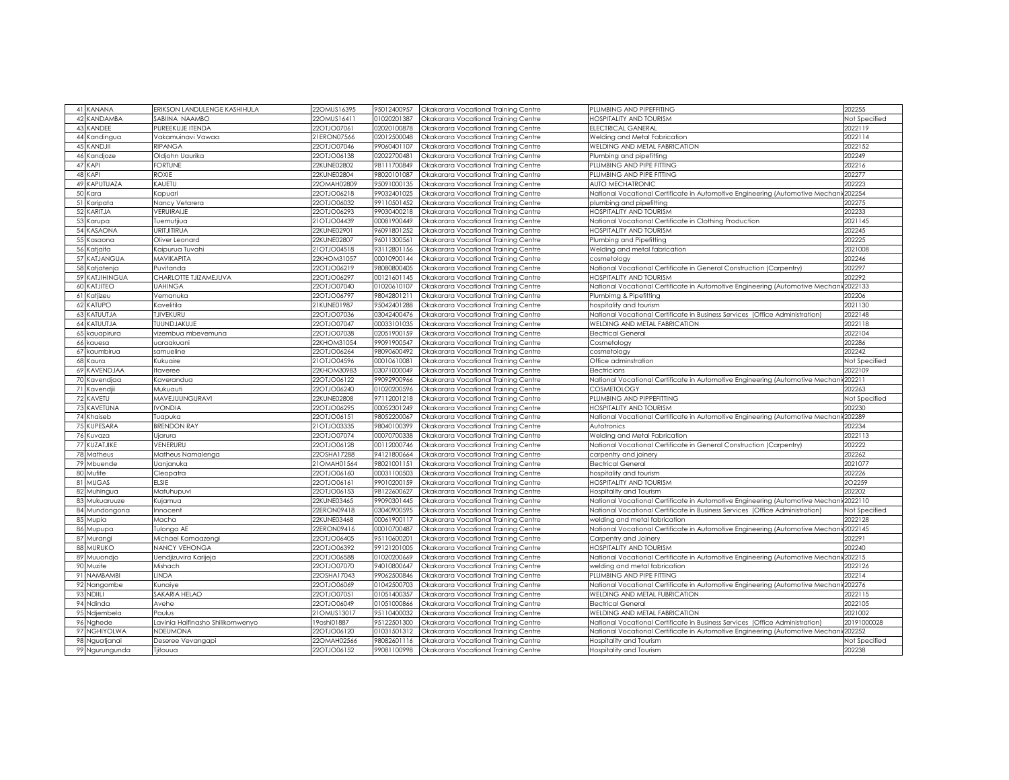| 41 KANANA             | ERIKSON LANDULENGE KASHIHULA      | 22OMUS16395                | 95012400957                | Okakarara Vocational Training Centre                                         | PLUMBING AND PIPEFFITING                                                                  | 202255            |
|-----------------------|-----------------------------------|----------------------------|----------------------------|------------------------------------------------------------------------------|-------------------------------------------------------------------------------------------|-------------------|
| 42 KANDAMBA           | SABIINA NAAMBO                    | 22OMUS16411                | 01020201387                | Okakarara Vocational Training Centre                                         | <b>IOSPITALITY AND TOURISM</b>                                                            | Not Specified     |
| <b>KANDEE</b><br>43   | PUREEKUJE ITENDA                  | 22OTJO07061                | 02020100878                | Okakarara Vocational Training Centre                                         | ELECTRICAL GANERAL                                                                        | 2022119           |
| 44 Kandingua          | Vakamuinavi Vawaa                 | 21ERON07566                | 02012500048                | Okakarara Vocational Training Centre                                         | Welding and Metal Fabrication                                                             | 2022114           |
| KANDJII<br>45         | RIPANGA                           | 22OTJO07046                | 99060401107                | Okakarara Vocational Training Centre                                         | WELDING AND METAL FABRICATION                                                             | 2022152           |
| 46 Kandjoze           | Oldjohn Uaurika                   | 22OTJO06138                | 02022700481                | Okakarara Vocational Training Centre                                         | Plumbing and pipefitting                                                                  | 202249            |
| 47 KAPI               | FORTUNE                           | 22KUNE02802                | 98111700849                | Okakarara Vocational Training Centre                                         | PLUMBING AND PIPE FITTING                                                                 | 202216            |
| KAPI<br>48            | ROXIE                             | 22KUNE02804                | 98020101087                | Okakarara Vocational Training Centre                                         | PLUMBING AND PIPE FITTING                                                                 | 202277            |
| 49 KAPUTUAZA          | KAUETU                            | 22OMAH02809                | 95091000135                | Okakarara Vocational Training Centre                                         | AUTO MECHATRONIC                                                                          | 202223            |
| 50<br>Kara            | Kapuari                           | 22OTJO06218                | 99032401025                | Okakarara Vocational Training Centre                                         | National Vocational Certificate in Automotive Engineering (Automotive Mechar              | 202254            |
| 51<br>Karipata        | Nancy Vetarera                    | 22OTJO06032                | 99110501452                | Okakarara Vocational Training Centre                                         | plumbing and pipefitting                                                                  | 202275            |
| KARITJA<br>52         | VERUIRAIJE                        | 22OTJO06293                | 99030400218                | Okakarara Vocational Training Centre                                         | <del>I</del> OSPITALITY AND TOURISM                                                       | 202233            |
| 53<br>Karupa          | fuemutiiua                        | 21OTJO04439                | 00081900449                | Okakarara Vocational Trainina Centre                                         | <b>National Vocational Certificate in Clothing Production</b>                             | 2021145           |
| 54 KASAONA            | URITJITIRUA                       | 22KUNE02901                | 96091801252                | Okakarara Vocational Training Centre                                         | <b>IOSPITALITY AND TOURISM</b>                                                            | 202245            |
| 55<br>Kasaona         |                                   | 22KUNE02807                | 96011300561                |                                                                              |                                                                                           | 202225            |
| Katiaita<br>56        | Oliver Leonard<br>Kaipurua Tuvahi | 21OTJ004518                | 93112801156                | Okakarara Vocational Training Centre                                         | Plumbing and Pipefitting                                                                  | 2021008           |
|                       | <b>MAVIKAPITA</b>                 |                            |                            | Okakarara Vocational Training Centre                                         | Welding and metal fabrication                                                             |                   |
| 57 KATJANGUA          |                                   | 22KHOM31057<br>22OTJO06219 | 00010900144<br>98080800405 | Okakarara Vocational Training Centre                                         | cosmetology<br><b>Vational Vocational Certificate in General Construction (Carpentry)</b> | 202246<br>202297  |
| 58 Katjatenja         | Puvitanda                         |                            |                            | Okakarara Vocational Training Centre                                         |                                                                                           |                   |
| 59 KATJIHINGUA        | CHARLOTTE TJIZAMEJUVA             | 22OTJO06297                | 00121601145                | Okakarara Vocational Training Centre                                         | <b>IOSPITALITY AND TOURISM</b>                                                            | 202292            |
| KATJITEO<br>60<br>61  | <b><i>UAHINGA</i></b>             | 22OTJO07040<br>22OTJO06797 | 01020610107<br>98042801211 | Okakarara Vocational Training Centre                                         | Iational Vocational Certificate in Automotive Engineering (Automotive Mechan              | 2022133           |
| Katjizeu<br>62 KATUPO | Vemanuka<br>Kavelitila            | 21KUNE01987                | 95042401288                | Okakarara Vocational Training Centre<br>Okakarara Vocational Training Centre | Plumbimg & Pipefitting<br>ospitality and tourism                                          | 202206<br>2021130 |
|                       |                                   |                            |                            |                                                                              |                                                                                           |                   |
| KATUUTJA              | <b>TJIVEKURU</b>                  | 22OTJO07036                | 03042400476                | Okakarara Vocational Training Centre                                         | <b>National Vocational Certificate in Business Services (Office Administration)</b>       | 2022148           |
| 64 KATUUTJA           | <b>IUUNDJAKUJE</b>                | 22OTJO07047                | 00033101035                | Okakarara Vocational Training Centre                                         | <b>VELDING AND METAL FABRICATION</b>                                                      | 2022118           |
| kauapirura            | vizembua mbevemuna                | 22OTJO07038                | 02051900159                | Okakarara Vocational Training Centre                                         | Electrical General                                                                        | 2022104           |
| 66<br>kauesa          | uaraakuani                        | 22KHOM31054                | 99091900547                | Okakarara Vocational Training Centre                                         | Cosmetology                                                                               | 202286            |
| kaumbirua             | samueline                         | 22OTJO06264                | 98090600492                | Okakarara Vocational Training Centre                                         | cosmetology                                                                               | 202242            |
| Kaura<br>68           | Kukuaire                          | 21OTJO04596                | 00010610081                | Okakarara Vocational Training Centre                                         | Office adminstration                                                                      | Not Specified     |
| KAVENDJAA             | taveree                           | 22KHOM30983                | 03071000049                | Okakarara Vocational Training Centre                                         | Electricians                                                                              | 2022109           |
| 70<br>Kavendjaa       | Kaverandua                        | 22OTJO06122                | 99092900966                | Okakarara Vocational Training Centre                                         | National Vocational Certificate in Automotive Engineering (Automotive Mechani             | 202211            |
| Kavendji              | Mukuauti                          | 22OTJO06240                | 01020200596                | Okakarara Vocational Training Centre                                         | COSMETOLOGY                                                                               | 202263            |
| KAVETU<br>72          | MAVEJUUNGURAVI                    | 22KUNE02808                | 97112001218                | Okakarara Vocational Trainina Centre                                         | PLUMBING AND PIPPEFITTING                                                                 | Not Specified     |
| 73 KAVETUNA           | <b>VONDIA</b>                     | 22OTJO06295                | 00052301249                | Okakarara Vocational Training Centre                                         | <b>IOSPITALITY AND TOURISM</b>                                                            | 202230            |
| 74 Khaiseb            | Tuapuka                           | 22OTJO06151                | 98052200067                | Okakarara Vocational Training Centre                                         | National Vocational Certificate in Automotive Engineering (Automotive Mechan              | 202289            |
| 75 KUPESARA           | <b>BRENDON RAY</b>                | 21OTJ003335                | 98040100399                | Okakarara Vocational Training Centre                                         | Autotronics                                                                               | 202234            |
| 76 Kuvaza             | Jjarura                           | 22OTJO07074                | 00070700338                | Okakarara Vocational Training Centre                                         | Welding and Metal Fabrication                                                             | 2022113           |
| KUZATJIKE<br>77       | VENERURU                          | 22OTJO06128                | 00112000746                | Okakarara Vocational Training Centre                                         | <b>Vational Vocational Certificate in General Construction (Carpentry)</b>                | 202222            |
| 78<br>Matheus         | Matheus Namalenga                 | 22OSHA17288                | 94121800664                | Okakarara Vocational Training Centre                                         | carpentry and joinery                                                                     | 202262            |
| Mbuende<br>79         | Uanjanuka                         | 21OMAH01564                | 98021001151                | Okakarara Vocational Training Centre                                         | Electrical General                                                                        | 2021077           |
| Mufite<br>80          | Cleopatra                         | 22OTJO06160                | 00031100503                | Okakarara Vocational Training Centre                                         | ospitality and tourism                                                                    | 202226            |
| <b>MUGAS</b><br>81    | ELSIE                             | 22OTJO06161                | 99010200159                | Okakarara Vocational Training Centre                                         | <b>IOSPITALITY AND TOURISM</b>                                                            | 202259            |
| 82<br>Muhingua        | Matuhupuvi                        | 22OTJO06153                | 98122600627                | Okakarara Vocational Training Centre                                         | Iospitality and Tourism                                                                   | 202202            |
| Mukuaruuze            | Kujamua                           | 22KUNE03465                | 99090301445                | Okakarara Vocational Training Centre                                         | Iational Vocational Certificate in Automotive Engineering (Automotive Mechan              | 2022110           |
| 84<br>Mundongona      | Innocent                          | 22ERON09418                | 03040900595                | Okakarara Vocational Training Centre                                         | Vational Vocational Certificate in Business Services (Office Administration)              | Not Specified     |
| Mupia<br>85           | Macha                             | 22KUNE03468                | 00061900117                | Okakarara Vocational Training Centre                                         | welding and metal fabrication                                                             | 2022128           |
| 86<br>Mupupa          | Tulonga AE                        | 22ERON09416                | 00010700487                | Okakarara Vocational Training Centre                                         | Vational Vocational Certificate in Automotive Engineering (Automotive Mechan              | 2022145           |
| Murangi<br>87         | Michael Kamaazengi                | 22OTJO06405                | 95110600201                | Okakarara Vocational Training Centre                                         | Carpentry and Joinery                                                                     | 202291            |
| <b>MURUKO</b>         | NANCY VEHONGA                     | 22OTJO06392                | 99121201005                | Okakarara Vocational Training Centre                                         | <del>I</del> OSPITALITY AND TOURISM                                                       | 202240            |
| 89 Muuondjo           | Uendjizuvira Karijeja             | 22OTJO06588                | 01020200669                | Okakarara Vocational Training Centre                                         | National Vocational Certificate in Automotive Engineering (Automotive Mechani             | 202215            |
| 90<br>Muzite          | Mishach                           | 22OTJO07070                | 94010800647                | Okakarara Vocational Training Centre                                         | velding and metal fabrication                                                             | 2022126           |
| 91 NAMBAMBI           | <b>LINDA</b>                      | 22OSHA17043                | 99062500846                | Okakarara Vocational Trainina Centre                                         | PLUMBING AND PIPE FITTING                                                                 | 202214            |
| 92 Nangombe           | Kunaiye                           | 22OTJO06069                | 01042500703                | Okakarara Vocational Training Centre                                         | National Vocational Certificate in Automotive Engineering (Automotive Mechani             | 202276            |
| 93<br><b>JIIU</b>     | SAKARIA HELAO                     | 22OTJO07051                | 01051400357                | Okakarara Vocational Training Centre                                         | WELDING AND METAL FUBRICATION                                                             | 2022115           |
| 94 Ndinda             | Avehe                             | 22OTJO06049                | 01051000866                | Okakarara Vocational Training Centre                                         | Electrical General                                                                        | 2022105           |
| 95 Ndjembela          | Paulus                            | 21OMUS13017                | 95110400032                | Okakarara Vocational Training Centre                                         | WELDING AND METAL FABRICATION                                                             | 2021002           |
| 96 Nghede             | Lavinia Haifinasho Shilikomwenyo  | 19oshi01887                | 95122501300                | Okakarara Vocational Training Centre                                         | <b>Iational Vocational Certificate in Business Services (Office Administration)</b>       | 20191000028       |
| 97<br>NGHIYOLWA       | NDEUMONA                          | 22OTJO06120                | 01031501312                | Okakarara Vocational Training Centre                                         | National Vocational Certificate in Automotive Engineering (Automotive Mechani             | 202252            |
| Nguatjanai<br>98      | Deseree Vevangapi                 | 22OMAH02566                | 98082601116                | Okakarara Vocational Training Centre                                         | Iospitality and Tourism                                                                   | Not Specified     |
| 99 Ngurungunda        | Tjitouua                          | 22OTJO06152                | 99081100998                | Okakarara Vocational Training Centre                                         | Hospitality and Tourism                                                                   | 202238            |